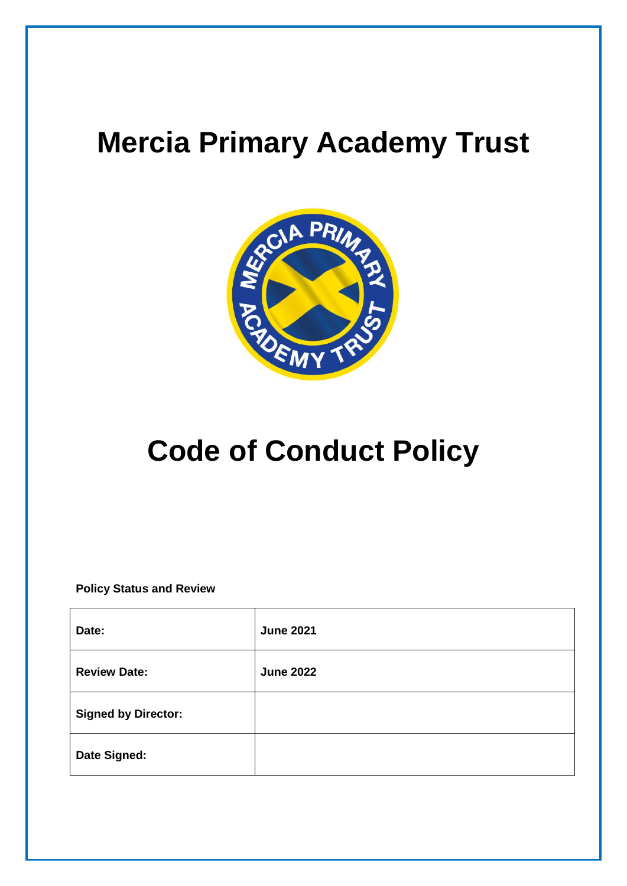## **Mercia Primary Academy Trust**



## **Code of Conduct Policy**

**Policy Status and Review**

| Date:                      | <b>June 2021</b> |
|----------------------------|------------------|
| <b>Review Date:</b>        | <b>June 2022</b> |
| <b>Signed by Director:</b> |                  |
| Date Signed:               |                  |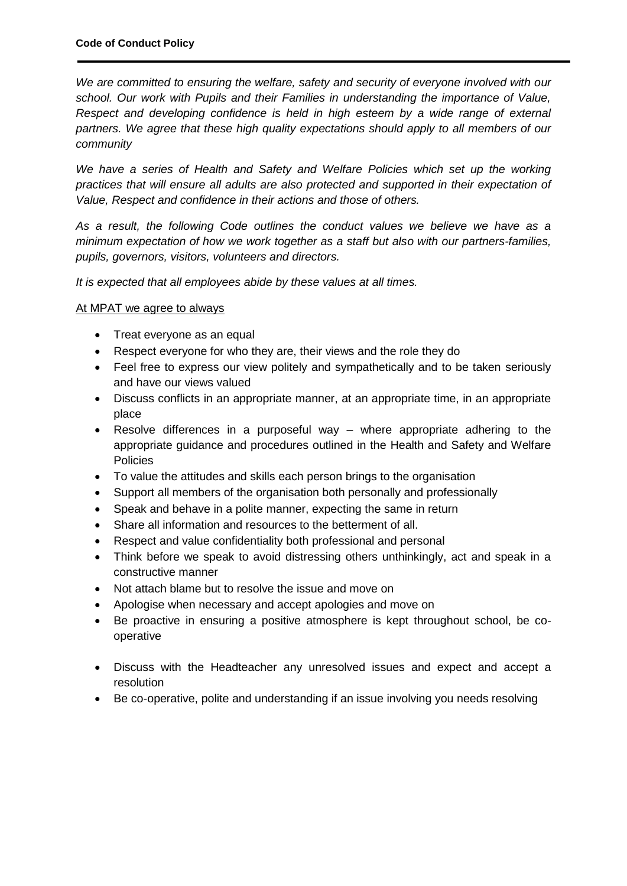*We are committed to ensuring the welfare, safety and security of everyone involved with our school. Our work with Pupils and their Families in understanding the importance of Value, Respect and developing confidence is held in high esteem by a wide range of external partners. We agree that these high quality expectations should apply to all members of our community*

We have a series of Health and Safety and Welfare Policies which set up the working *practices that will ensure all adults are also protected and supported in their expectation of Value, Respect and confidence in their actions and those of others.*

*As a result, the following Code outlines the conduct values we believe we have as a minimum expectation of how we work together as a staff but also with our partners-families, pupils, governors, visitors, volunteers and directors.*

*It is expected that all employees abide by these values at all times.*

## At MPAT we agree to always

- Treat everyone as an equal
- Respect everyone for who they are, their views and the role they do
- Feel free to express our view politely and sympathetically and to be taken seriously and have our views valued
- Discuss conflicts in an appropriate manner, at an appropriate time, in an appropriate place
- Resolve differences in a purposeful way where appropriate adhering to the appropriate guidance and procedures outlined in the Health and Safety and Welfare **Policies**
- To value the attitudes and skills each person brings to the organisation
- Support all members of the organisation both personally and professionally
- Speak and behave in a polite manner, expecting the same in return
- Share all information and resources to the betterment of all.
- Respect and value confidentiality both professional and personal
- Think before we speak to avoid distressing others unthinkingly, act and speak in a constructive manner
- Not attach blame but to resolve the issue and move on
- Apologise when necessary and accept apologies and move on
- Be proactive in ensuring a positive atmosphere is kept throughout school, be cooperative
- Discuss with the Headteacher any unresolved issues and expect and accept a resolution
- Be co-operative, polite and understanding if an issue involving you needs resolving